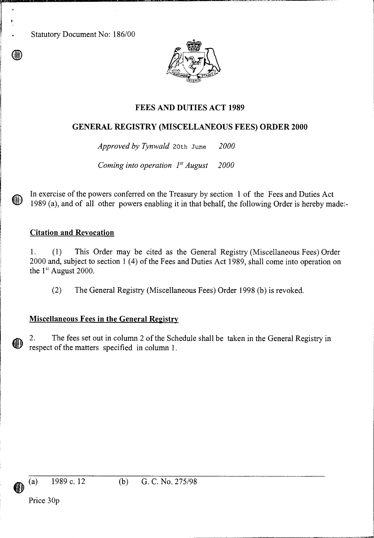Statutory Document No: 186/00



# **FEES AND DUTIES ACT 1989**

# **GENERAL REGISTRY (MISCELLANEOUS FEES) ORDER 2000**

*Approved by Tynwald* 20th June *2000* 

*Coming into operation I' August 2000* 

In exercise of the powers conferred on the Treasury by section 1 of the Fees and Duties Act 1989 (a), and of all other powers enabling it in that behalf, the following Order is hereby made:-

#### **Citation and Revocation**

1. (1) This Order may be cited as the General Registry (Miscellaneous Fees) Order 2000 and, subject to section 1 (4) of the Fees and Duties Act 1989, shall come into operation on the 1<sup>st</sup> August 2000.

(2) The General Registry (Miscellaneous Fees) Order 1998 (b) is revoked.

## **Miscellaneous Fees in the General Registry**

2. The fees set out in column 2 of the Schedule shall be taken in the General Registry in respect of the matters specified in column 1.